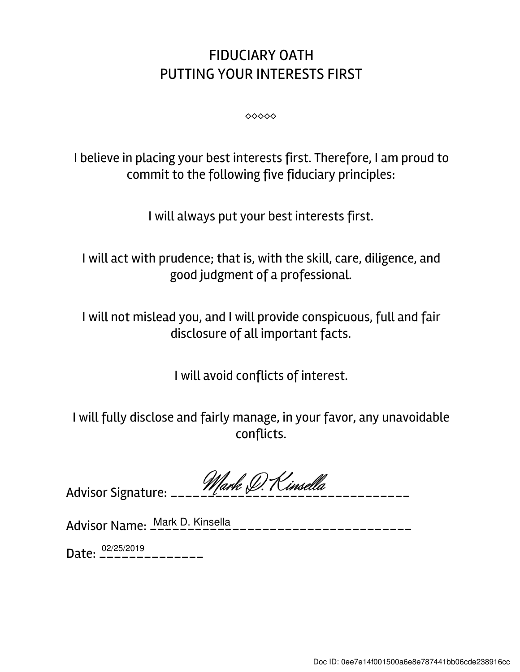## FIDUCIARY OATH PUTTING YOUR INTERESTS FIRST

⬥⬥⬥⬥⬥

I believe in placing your best interests first. Therefore, I am proud to commit to the following five fiduciary principles:

I will always put your best interests first.

I will act with prudence; that is, with the skill, care, diligence, and good judgment of a professional.

I will not mislead you, and I will provide conspicuous, full and fair disclosure of all important facts.

I will avoid conflicts of interest.

I will fully disclose and fairly manage, in your favor, any unavoidable conflicts.

| 101 |  |
|-----|--|
|     |  |

Advisor Name: \_\_\_\_\_\_\_\_\_\_\_\_\_\_\_\_\_\_\_\_\_\_\_\_\_\_\_\_\_\_\_\_\_\_\_ Mark D. Kinsella

Date: \_\_\_\_\_\_\_\_\_\_\_\_\_\_ 02/25/2019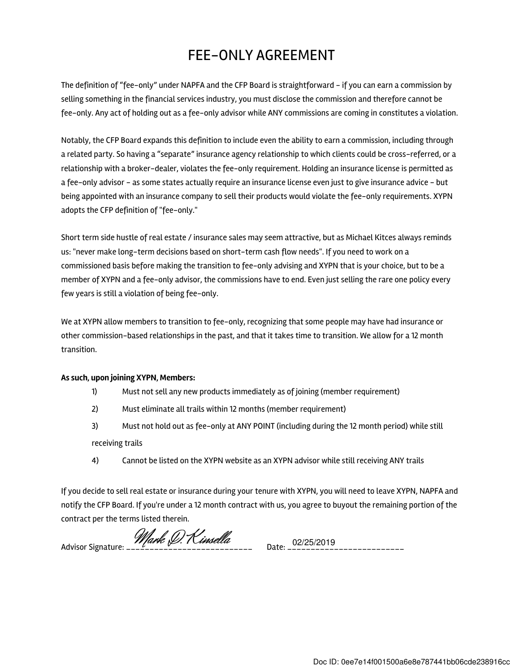## FEE-ONLY AGREEMENT

The definition of "fee-only" under NAPFA and the CFP Board is straightforward - if you can earn a commission by selling something in the financial services industry, you must disclose the commission and therefore cannot be fee-only. Any act of holding out as a fee-only advisor while ANY commissions are coming in constitutes a violation.

Notably, the CFP Board expands this definition to include even the ability to earn a commission, including through a related party. So having a "separate" insurance agency relationship to which clients could be cross-referred, or a relationship with a broker-dealer, violates the fee-only requirement. Holding an insurance license is permitted as a fee-only advisor - as some states actually require an insurance license even just to give insurance advice - but being appointed with an insurance company to sell their products would violate the fee-only requirements. XYPN adopts the CFP definition of "fee-only."

Short term side hustle of real estate / insurance sales may seem attractive, but as Michael Kitces always reminds us: "never make long-term decisions based on short-term cash flow needs". If you need to work on a commissioned basis before making the transition to fee-only advising and XYPN that is your choice, but to be a member of XYPN and a fee-only advisor, the commissions have to end. Even just selling the rare one policy every few years is still a violation of being fee-only.

We at XYPN allow members to transition to fee-only, recognizing that some people may have had insurance or other commission-based relationships in the past, and that it takes time to transition. We allow for a 12 month transition.

## As such, upon joining XYPN, Members:

- 1) Must not sell any new products immediately as of joining (member requirement)
- 2) Must eliminate all trails within 12 months (member requirement)
- 3) Must not hold out as fee-only at ANY POINT (including during the 12 month period) while still receiving trails
- 4) Cannot be listed on the XYPN website as an XYPN advisor while still receiving ANY trails

If you decide to sell real estate or insurance during your tenure with XYPN, you will need to leave XYPN, NAPFA and notify the CFP Board. If you're under a 12 month contract with us, you agree to buyout the remaining portion of the contract per the terms listed therein.

Advisor Signature: \_\_\_\_\_\_\_\_\_\_\_\_\_\_\_\_\_\_\_\_\_\_\_\_\_\_\_ Date: \_\_\_\_\_\_\_\_\_\_\_\_\_\_\_\_\_\_\_\_\_\_\_\_\_ 02/25/2019